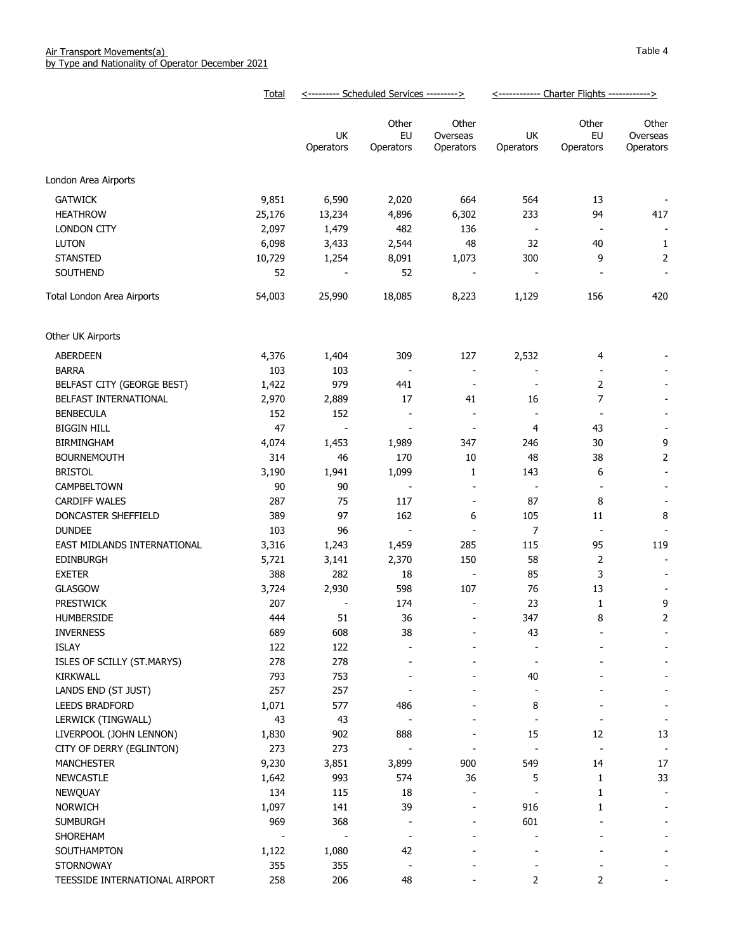|                                                     | Total          | <--------- Scheduled Services ---------> |                                   |                                 | <------------ Charter Flights ------------> |                          |                                |
|-----------------------------------------------------|----------------|------------------------------------------|-----------------------------------|---------------------------------|---------------------------------------------|--------------------------|--------------------------------|
|                                                     |                | UK<br>Operators                          | Other<br>EU<br>Operators          | Other<br>Overseas<br>Operators  | UK<br>Operators                             | Other<br>EU<br>Operators | Other<br>Overseas<br>Operators |
| London Area Airports                                |                |                                          |                                   |                                 |                                             |                          |                                |
| <b>GATWICK</b>                                      | 9,851          | 6,590                                    | 2,020                             | 664                             | 564                                         | 13                       |                                |
| <b>HEATHROW</b>                                     | 25,176         | 13,234                                   | 4,896                             | 6,302                           | 233                                         | 94                       | 417                            |
| LONDON CITY                                         | 2,097          | 1,479                                    | 482                               | 136                             | $\frac{1}{2}$                               | $\overline{\phantom{a}}$ | $\overline{\phantom{a}}$       |
| <b>LUTON</b>                                        | 6,098          | 3,433                                    | 2,544                             | 48                              | 32                                          | 40                       | 1                              |
| <b>STANSTED</b>                                     | 10,729         | 1,254                                    | 8,091                             | 1,073                           | 300                                         | 9                        | $\mathbf 2$                    |
| SOUTHEND                                            | 52             |                                          | 52                                | $\blacksquare$                  | $\overline{a}$                              |                          | $\overline{\phantom{a}}$       |
| Total London Area Airports                          | 54,003         | 25,990                                   | 18,085                            | 8,223                           | 1,129                                       | 156                      | 420                            |
| Other UK Airports                                   |                |                                          |                                   |                                 |                                             |                          |                                |
|                                                     |                |                                          |                                   |                                 |                                             |                          |                                |
| ABERDEEN                                            | 4,376<br>103   | 1,404<br>103                             | 309<br>$\overline{\phantom{a}}$   | 127<br>$\overline{\phantom{a}}$ | 2,532<br>$\overline{a}$                     | 4                        |                                |
| <b>BARRA</b>                                        |                |                                          | 441                               |                                 |                                             | 2                        |                                |
| BELFAST CITY (GEORGE BEST)<br>BELFAST INTERNATIONAL | 1,422<br>2,970 | 979                                      | 17                                | $\overline{\phantom{a}}$<br>41  | $\overline{\phantom{a}}$<br>16              | $\overline{7}$           |                                |
| <b>BENBECULA</b>                                    | 152            | 2,889<br>152                             | $\overline{\phantom{a}}$          | $\blacksquare$                  | $\overline{\phantom{a}}$                    | $\overline{\phantom{a}}$ | $\overline{\phantom{a}}$       |
|                                                     | 47             |                                          |                                   | $\overline{\phantom{a}}$        | 4                                           |                          |                                |
| <b>BIGGIN HILL</b><br><b>BIRMINGHAM</b>             | 4,074          | $\overline{\phantom{a}}$<br>1,453        | $\overline{\phantom{a}}$<br>1,989 | 347                             | 246                                         | 43<br>30                 | $\overline{\phantom{a}}$<br>9  |
| <b>BOURNEMOUTH</b>                                  | 314            | 46                                       | 170                               | 10                              | 48                                          | 38                       | $\overline{2}$                 |
| <b>BRISTOL</b>                                      | 3,190          | 1,941                                    | 1,099                             | 1                               | 143                                         | 6                        | $\overline{\phantom{a}}$       |
| CAMPBELTOWN                                         | 90             | 90                                       | $\overline{\phantom{a}}$          | $\overline{\phantom{a}}$        | $\frac{1}{2}$                               |                          |                                |
| <b>CARDIFF WALES</b>                                | 287            | 75                                       | 117                               | $\overline{\phantom{a}}$        | 87                                          | 8                        |                                |
| DONCASTER SHEFFIELD                                 | 389            | 97                                       | 162                               | 6                               | 105                                         | 11                       | 8                              |
| <b>DUNDEE</b>                                       | 103            | 96                                       | $\overline{\phantom{a}}$          | $\overline{\phantom{a}}$        | $\overline{7}$                              | $\overline{\phantom{a}}$ |                                |
| EAST MIDLANDS INTERNATIONAL                         | 3,316          | 1,243                                    | 1,459                             | 285                             | 115                                         | 95                       | 119                            |
| <b>EDINBURGH</b>                                    | 5,721          | 3,141                                    | 2,370                             | 150                             | 58                                          | 2                        | $\overline{\phantom{a}}$       |
| <b>EXETER</b>                                       | 388            | 282                                      | 18                                | $\overline{\phantom{a}}$        | 85                                          | 3                        |                                |
| <b>GLASGOW</b>                                      | 3,724          | 2,930                                    | 598                               | 107                             | 76                                          | 13                       |                                |
| <b>PRESTWICK</b>                                    | 207            |                                          | 174                               |                                 | 23                                          | 1                        | 9                              |
| <b>HUMBERSIDE</b>                                   | 444            | 51                                       | 36                                |                                 | 347                                         | 8                        | 2                              |
| <b>INVERNESS</b>                                    | 689            | 608                                      | 38                                |                                 | 43                                          |                          |                                |
| <b>ISLAY</b>                                        | 122            | 122                                      |                                   |                                 |                                             |                          |                                |
| ISLES OF SCILLY (ST.MARYS)                          | 278            | 278                                      |                                   |                                 | $\overline{\phantom{a}}$                    |                          |                                |
| <b>KIRKWALL</b>                                     | 793            | 753                                      |                                   |                                 | 40                                          |                          |                                |
| LANDS END (ST JUST)                                 | 257            | 257                                      |                                   |                                 |                                             |                          |                                |
| <b>LEEDS BRADFORD</b>                               | 1,071          | 577                                      | 486                               | $\qquad \qquad$                 | 8                                           |                          | $\overline{\phantom{a}}$       |
| LERWICK (TINGWALL)                                  | 43             | 43                                       |                                   |                                 |                                             |                          | $\overline{\phantom{a}}$       |
| LIVERPOOL (JOHN LENNON)                             | 1,830          | 902                                      | 888                               |                                 | 15                                          | 12                       | 13                             |
| CITY OF DERRY (EGLINTON)                            | 273            | 273                                      |                                   |                                 |                                             |                          | $\overline{\phantom{a}}$       |
| <b>MANCHESTER</b>                                   | 9,230          | 3,851                                    | 3,899                             | 900                             | 549                                         | 14                       | 17                             |
| <b>NEWCASTLE</b>                                    | 1,642          | 993                                      | 574                               | 36                              | 5                                           | 1                        | 33                             |
| NEWQUAY                                             | 134            | 115                                      | 18                                | $\blacksquare$                  |                                             | 1                        | $\overline{\phantom{a}}$       |
| <b>NORWICH</b>                                      | 1,097          | 141                                      | 39                                | $\qquad \qquad \blacksquare$    | 916                                         | 1                        |                                |
| <b>SUMBURGH</b>                                     | 969            | 368                                      | $\overline{\phantom{a}}$          | ۰                               | 601                                         |                          |                                |
| SHOREHAM                                            |                |                                          | $\overline{\phantom{a}}$          |                                 |                                             |                          |                                |
| SOUTHAMPTON                                         | 1,122          | 1,080                                    | 42                                |                                 |                                             |                          |                                |
| <b>STORNOWAY</b>                                    | 355            | 355                                      | $\overline{\phantom{a}}$          |                                 |                                             |                          |                                |
| TEESSIDE INTERNATIONAL AIRPORT                      | 258            | 206                                      | 48                                |                                 | 2                                           | 2                        |                                |
|                                                     |                |                                          |                                   |                                 |                                             |                          |                                |